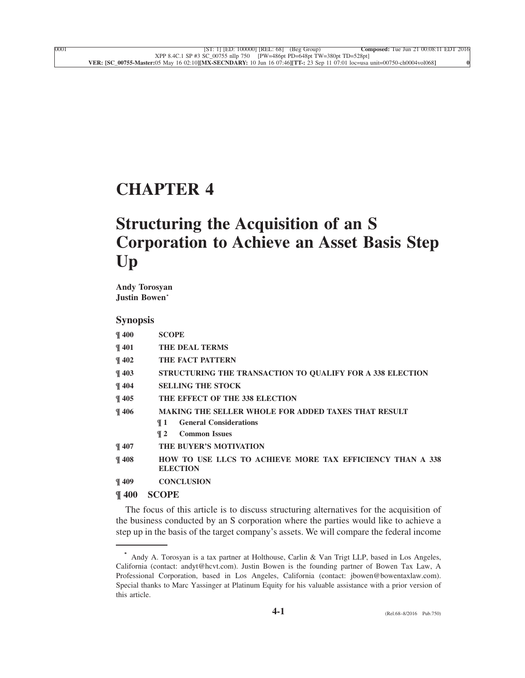# **[CHAPTER 4](xpath-> core:desig,  tr:ch/core:desig,  desig_title,  style_02)**

# **[Structuring the Acquisition of an S](xpath-> core:title,  tr:ch/core:title,  desig_title,  style_02) [Corporation to Achieve an Asset Basis Step](xpath-> core:title,  tr:ch/core:title,  desig_title,  style_02) [Up](xpath-> core:title,  tr:ch/core:title,  desig_title,  style_02)**

**[Andy Torosyan](xpath-> core:byline,  core:byline,  byline,  style_04) [Justin Bowen](xpath-> core:byline,  core:byline,  byline,  style_04)\***

# **[Synopsis](xpath-> core:title,  core:toc/core:title,  synopsis,  style_13)**

| $\P$ 400          | <b>SCOPE</b>                                               |
|-------------------|------------------------------------------------------------|
| $\P$ 401          | <b>THE DEAL TERMS</b>                                      |
| $\P$ 402          | THE FACT PATTERN                                           |
| $\P$ 403          | STRUCTURING THE TRANSACTION TO QUALIFY FOR A 338 ELECTION  |
| $\P$ 404          | <b>SELLING THE STOCK</b>                                   |
| $\P$ 405          | THE EFFECT OF THE 338 ELECTION                             |
| $\P$ 406          | <b>MAKING THE SELLER WHOLE FOR ADDED TAXES THAT RESULT</b> |
|                   | <b>General Considerations</b><br>¶ 1                       |
|                   | <b>Common Issues</b><br>$\P$ 2                             |
| $\P$ 407          | THE BUYER'S MOTIVATION                                     |
| $\P$ 408          | HOW TO USE LLCS TO ACHIEVE MORE TAX EFFICIENCY THAN A 338  |
|                   | <b>ELECTION</b>                                            |
| $\P$ 409          | <b>CONCLUSION</b>                                          |
| $\pi$ in $\theta$ | $\alpha$ $\alpha$ $\mathbf{n}$ $\mathbf{n}$                |

# **[¶ 400](xpath-> core:desig,  tr:secmain/core:desig,  desig_title,  style_02) [SCOPE](xpath-> core:title,  tr:secmain/core:title,  desig_title,  style_02)**

[The focus of this article is to discuss structuring alternatives for the acquisition of](xpath-> core:para,  Default,  para-list,  style_01) [the business conducted by an S corporation where the parties would like to achieve a](xpath-> core:para,  Default,  para-list,  style_01) [step up in the basis of the target company's assets. We will compare the federal income](xpath-> core:para,  Default,  para-list,  style_01)

**<sup>\*</sup>** [Andy A. Torosyan is a tax partner at Holthouse, Carlin & Van Trigt LLP, based in Los Angeles,](xpath-> fn:para,  fn:footnote/fn:para,  footnote,  style_01) [California \(contact: andyt@hcvt.com\). Justin Bowen is the founding partner of Bowen Tax Law, A](xpath-> fn:para,  fn:footnote/fn:para,  footnote,  style_01) [Professional Corporation, based in Los Angeles, California \(contact: jbowen@bowentaxlaw.com\).](xpath-> fn:para,  fn:footnote/fn:para,  footnote,  style_01) [Special thanks to Marc Yassinger at Platinum Equity for his valuable assistance with a prior version of](xpath-> fn:para,  fn:footnote/fn:para,  footnote,  style_01) [this article.](xpath-> fn:para,  fn:footnote/fn:para,  footnote,  style_01)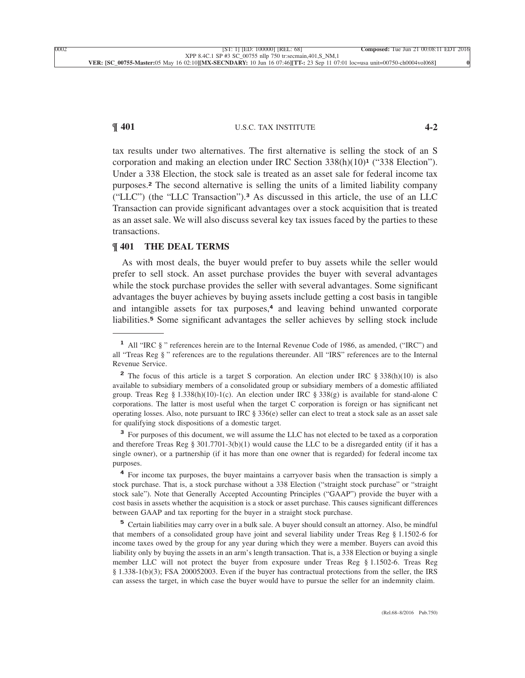# **¶ 401** U.S.C. TAX INSTITUTE **4-2**

tax results under two alternatives. The first alternative is selling the stock of an S corporation and making an election under IRC Section 338(h)(10)**<sup>1</sup>** ("338 Election"). Under a 338 Election, the stock sale is treated as an asset sale for federal income tax purposes.**<sup>2</sup>** The second alternative is selling the units of a limited liability company ("LLC") (the "LLC Transaction").**<sup>3</sup>** As discussed in this article, the use of an LLC Transaction can provide significant advantages over a stock acquisition that is treated as an asset sale. We will also discuss several key tax issues faced by the parties to these [transactions.](xpath-> core:para,  Default,  para-list,  style_01)

### **[¶ 401](xpath-> core:desig,  tr:secmain/core:desig,  desig_title,  style_02) [THE DEAL TERMS](xpath-> core:title,  tr:secmain/core:title,  desig_title,  style_02)**

[As with most deals, the buyer would prefer to buy assets while the seller would](xpath-> core:para,  Default,  para-list,  style_01) [prefer to sell stock. An asset purchase provides the buyer with several advantages](xpath-> core:para,  Default,  para-list,  style_01) [while the stock purchase provides the seller with several advantages. Some significant](xpath-> core:para,  Default,  para-list,  style_01) [advantages the buyer achieves by buying assets include getting a cost basis in tangible](xpath-> core:para,  Default,  para-list,  style_01) and intangible assets for tax purposes,**<sup>4</sup>** [and leaving behind unwanted corporate](xpath-> core:para,  Default,  para-list,  style_01) liabilities.**<sup>5</sup>** [Some significant advantages the seller achieves by selling stock include](xpath-> core:para,  Default,  para-list,  style_01)

<sup>3</sup> [For purposes of this document, we will assume the LLC has not elected to be taxed as a corporation](xpath-> fn:para,  fn:footnote/fn:para,  footnote,  style_01) [and therefore Treas Reg § 301.7701-3\(b\)\(1\) would cause the LLC to be a disregarded entity \(if it has a](xpath-> fn:para,  fn:footnote/fn:para,  footnote,  style_01) [single owner\), or a partnership \(if it has more than one owner that is regarded\) for federal income tax](xpath-> fn:para,  fn:footnote/fn:para,  footnote,  style_01) [purposes.](xpath-> fn:para,  fn:footnote/fn:para,  footnote,  style_01)

<sup>4</sup> [For income tax purposes, the buyer maintains a carryover basis when the transaction is simply a](xpath-> fn:para,  fn:footnote/fn:para,  footnote,  style_01) [stock purchase. That is, a stock purchase without a 338 Election \("straight stock purchase" or "straight](xpath-> fn:para,  fn:footnote/fn:para,  footnote,  style_01) [stock sale"\). Note that Generally Accepted Accounting Principles \("GAAP"\) provide the buyer with a](xpath-> fn:para,  fn:footnote/fn:para,  footnote,  style_01) [cost basis in assets whether the acquisition is a stock or asset purchase. This causes significant differences](xpath-> fn:para,  fn:footnote/fn:para,  footnote,  style_01) [between GAAP and tax reporting for the buyer in a straight stock purchase.](xpath-> fn:para,  fn:footnote/fn:para,  footnote,  style_01)

**<sup>5</sup>** [Certain liabilities may carry over in a bulk sale. A buyer should consult an attorney. Also, be mindful](xpath-> fn:para,  fn:footnote/fn:para,  footnote,  style_01) [that members of a consolidated group have joint and several liability under Treas Reg § 1.1502-6 for](xpath-> fn:para,  fn:footnote/fn:para,  footnote,  style_01) [income taxes owed by the group for any year during which they were a member. Buyers can avoid this](xpath-> fn:para,  fn:footnote/fn:para,  footnote,  style_01) [liability only by buying the assets in an arm's length transaction. That is, a 338 Election or buying a single](xpath-> fn:para,  fn:footnote/fn:para,  footnote,  style_01) [member LLC will not protect the buyer from exposure under Treas Reg § 1.1502-6. Treas Reg](xpath-> fn:para,  fn:footnote/fn:para,  footnote,  style_01) [§ 1.338-1\(b\)\(3\); FSA 200052003. Even if the buyer has contractual protections from the seller, the IRS](xpath-> fn:para,  fn:footnote/fn:para,  footnote,  style_01) [can assess the target, in which case the buyer would have to pursue the seller for an indemnity claim.](xpath-> fn:para,  fn:footnote/fn:para,  footnote,  style_01)

**<sup>1</sup>** [All "IRC § " references herein are to the Internal Revenue Code of 1986, as amended, \("IRC"\) and](xpath-> fn:para,  fn:footnote/fn:para,  footnote,  style_01) [all "Treas Reg § " references are to the regulations thereunder. All "IRS" references are to the Internal](xpath-> fn:para,  fn:footnote/fn:para,  footnote,  style_01) [Revenue Service.](xpath-> fn:para,  fn:footnote/fn:para,  footnote,  style_01)

<sup>&</sup>lt;sup>2</sup> [The focus of this article is a target S corporation. An election under IRC § 338\(h\)\(10\) is also](xpath-> fn:para,  fn:footnote/fn:para,  footnote,  style_01) [available to subsidiary members of a consolidated group or subsidiary members of a domestic affiliated](xpath-> fn:para,  fn:footnote/fn:para,  footnote,  style_01) [group. Treas Reg § 1.338\(h\)\(10\)-1\(c\). An election under IRC § 338\(g\) is available for stand-alone C](xpath-> fn:para,  fn:footnote/fn:para,  footnote,  style_01) [corporations. The latter is most useful when the target C corporation is foreign or has significant net](xpath-> fn:para,  fn:footnote/fn:para,  footnote,  style_01) [operating losses. Also, note pursuant to IRC § 336\(e\) seller can elect to treat a stock sale as an asset sale](xpath-> fn:para,  fn:footnote/fn:para,  footnote,  style_01) [for qualifying stock dispositions of a domestic target.](xpath-> fn:para,  fn:footnote/fn:para,  footnote,  style_01)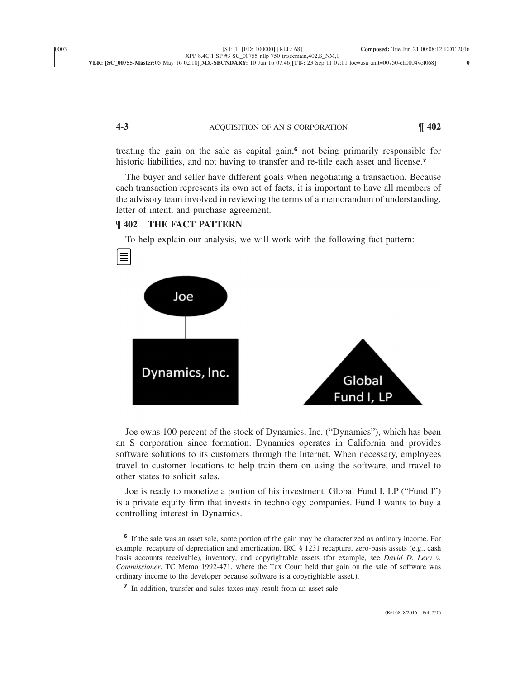### **4-3** ACQUISITION OF AN S CORPORATION **¶ 402**

treating the gain on the sale as capital gain,**<sup>6</sup>** not being primarily responsible for [historic liabilities, and not having to transfer and re-title each asset and license.](xpath-> core:para,  Default,  para-list,  style_01)<sup>7</sup>

[The buyer and seller have different goals when negotiating a transaction. Because](xpath-> core:para,  Default,  para-list,  style_01) [each transaction represents its own set of facts, it is important to have all members of](xpath-> core:para,  Default,  para-list,  style_01) [the advisory team involved in reviewing the terms of a memorandum of understanding,](xpath-> core:para,  Default,  para-list,  style_01) [letter of intent, and purchase agreement.](xpath-> core:para,  Default,  para-list,  style_01)

### **[¶ 402](xpath-> core:desig,  tr:secmain/core:desig,  desig_title,  style_02) [THE FACT PATTERN](xpath-> core:title,  tr:secmain/core:title,  desig_title,  style_02)**

[To help explain our analysis, we will work with the following fact pattern:](xpath-> core:para,  Default,  para-list,  style_01)



[Joe owns 100 percent of the stock of Dynamics, Inc. \("Dynamics"\), which has been](xpath-> core:para,  Default,  para-list,  style_01) [an S corporation since formation. Dynamics operates in California and provides](xpath-> core:para,  Default,  para-list,  style_01) [software solutions to its customers through the Internet. When necessary, employees](xpath-> core:para,  Default,  para-list,  style_01) [travel to customer locations to help train them on using the software, and travel to](xpath-> core:para,  Default,  para-list,  style_01) [other states to solicit sales.](xpath-> core:para,  Default,  para-list,  style_01)

[Joe is ready to monetize a portion of his investment. Global Fund I, LP \("Fund I"\)](xpath-> core:para,  Default,  para-list,  style_01) [is a private equity firm that invests in technology companies. Fund I wants to buy a](xpath-> core:para,  Default,  para-list,  style_01) [controlling interest in Dynamics.](xpath-> core:para,  Default,  para-list,  style_01)

**<sup>6</sup>** [If the sale was an asset sale, some portion of the gain may be characterized as ordinary income. For](xpath-> fn:para,  fn:footnote/fn:para,  footnote,  style_01) [example, recapture of depreciation and amortization, IRC § 1231 recapture, zero-basis assets \(e.g., cash](xpath-> fn:para,  fn:footnote/fn:para,  footnote,  style_01) [basis accounts receivable\), inventory, and copyrightable assets \(for example, see](xpath-> fn:para,  fn:footnote/fn:para,  footnote,  style_01) *David D. Levy v. Commissioner*[, TC Memo 1992-471, where the Tax Court held that gain on the sale of software was](xpath-> fn:para,  fn:footnote/fn:para,  footnote,  style_01) [ordinary income to the developer because software is a copyrightable asset.\).](xpath-> fn:para,  fn:footnote/fn:para,  footnote,  style_01)

**<sup>7</sup>** [In addition, transfer and sales taxes may result from an asset sale.](xpath-> fn:para,  fn:footnote/fn:para,  footnote,  style_01)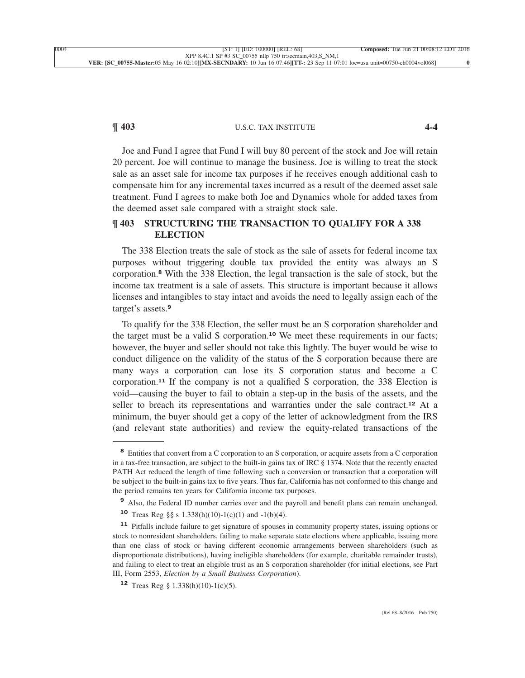# **¶ 403** U.S.C. TAX INSTITUTE **4-4**

[Joe and Fund I agree that Fund I will buy 80 percent of the stock and Joe will retain](xpath-> core:para,  Default,  para-list,  style_01) [20 percent. Joe will continue to manage the business. Joe is willing to treat the stock](xpath-> core:para,  Default,  para-list,  style_01) [sale as an asset sale for income tax purposes if he receives enough additional cash to](xpath-> core:para,  Default,  para-list,  style_01) [compensate him for any incremental taxes incurred as a result of the deemed asset sale](xpath-> core:para,  Default,  para-list,  style_01) [treatment. Fund I agrees to make both Joe and Dynamics whole for added taxes from](xpath-> core:para,  Default,  para-list,  style_01) [the deemed asset sale compared with a straight stock sale.](xpath-> core:para,  Default,  para-list,  style_01)

# **[¶ 403](xpath-> core:desig,  tr:secmain/core:desig,  desig_title,  style_02) [STRUCTURING THE TRANSACTION TO QUALIFY FOR A 338](xpath-> core:title,  tr:secmain/core:title,  desig_title,  style_02) [ELECTION](xpath-> core:title,  tr:secmain/core:title,  desig_title,  style_02)**

[The 338 Election treats the sale of stock as the sale of assets for federal income tax](xpath-> core:para,  Default,  para-list,  style_01) [purposes without triggering double tax provided the entity was always an S](xpath-> core:para,  Default,  para-list,  style_01) corporation.**<sup>8</sup>** [With the 338 Election, the legal transaction is the sale of stock, but the](xpath-> core:para,  Default,  para-list,  style_01) [income tax treatment is a sale of assets. This structure is important because it allows](xpath-> core:para,  Default,  para-list,  style_01) [licenses and intangibles to stay intact and avoids the need to legally assign each of the](xpath-> core:para,  Default,  para-list,  style_01) [target's assets.](xpath-> core:para,  Default,  para-list,  style_01)**<sup>9</sup>**

[To qualify for the 338 Election, the seller must be an S corporation shareholder and](xpath-> core:para,  Default,  para-list,  style_01) the target must be a valid S corporation.**<sup>10</sup>** [We meet these requirements in our facts;](xpath-> core:para,  Default,  para-list,  style_01) [however, the buyer and seller should not take this lightly. The buyer would be wise to](xpath-> core:para,  Default,  para-list,  style_01) [conduct diligence on the validity of the status of the S corporation because there are](xpath-> core:para,  Default,  para-list,  style_01) [many ways a corporation can lose its S corporation status and become a C](xpath-> core:para,  Default,  para-list,  style_01) corporation.**<sup>11</sup>** [If the company is not a qualified S corporation, the 338 Election is](xpath-> core:para,  Default,  para-list,  style_01) [void—causing the buyer to fail to obtain a step-up in the basis of the assets, and the](xpath-> core:para,  Default,  para-list,  style_01) [seller to breach its representations and warranties under the sale contract.](xpath-> core:para,  Default,  para-list,  style_01)**<sup>12</sup>** At a [minimum, the buyer should get a copy of the letter of acknowledgment from the IRS](xpath-> core:para,  Default,  para-list,  style_01) [\(and relevant state authorities\) and review the equity-related transactions of the](xpath-> core:para,  Default,  para-list,  style_01)

<sup>&</sup>lt;sup>8</sup> [Entities that convert from a C corporation to an S corporation, or acquire assets from a C corporation](xpath-> fn:para,  fn:footnote/fn:para,  footnote,  style_01) [in a tax-free transaction, are subject to the built-in gains tax of IRC § 1374. Note that the recently enacted](xpath-> fn:para,  fn:footnote/fn:para,  footnote,  style_01) [PATH Act reduced the length of time following such a conversion or transaction that a corporation will](xpath-> fn:para,  fn:footnote/fn:para,  footnote,  style_01) [be subject to the built-in gains tax to five years. Thus far, California has not conformed to this change and](xpath-> fn:para,  fn:footnote/fn:para,  footnote,  style_01) [the period remains ten years for California income tax purposes.](xpath-> fn:para,  fn:footnote/fn:para,  footnote,  style_01)

**<sup>9</sup>** [Also, the Federal ID number carries over and the payroll and benefit plans can remain unchanged.](xpath-> fn:para,  fn:footnote/fn:para,  footnote,  style_01)

**<sup>10</sup>** [Treas Reg §§ s 1.338\(h\)\(10\)-1\(c\)\(1\) and -1\(b\)\(4\).](xpath-> fn:para,  fn:footnote/fn:para,  footnote,  style_01)

**<sup>11</sup>** [Pitfalls include failure to get signature of spouses in community property states, issuing options or](xpath-> fn:para,  fn:footnote/fn:para,  footnote,  style_01) [stock to nonresident shareholders, failing to make separate state elections where applicable, issuing more](xpath-> fn:para,  fn:footnote/fn:para,  footnote,  style_01) [than one class of stock or having different economic arrangements between shareholders \(such as](xpath-> fn:para,  fn:footnote/fn:para,  footnote,  style_01) [disproportionate distributions\), having ineligible shareholders \(for example, charitable remainder trusts\),](xpath-> fn:para,  fn:footnote/fn:para,  footnote,  style_01) [and failing to elect to treat an eligible trust as an S corporation shareholder \(for initial elections, see Part](xpath-> fn:para,  fn:footnote/fn:para,  footnote,  style_01) III, Form 2553, *[Election by a Small Business Corporation](xpath-> fn:para,  fn:footnote/fn:para,  footnote,  style_01)*).

**<sup>12</sup>** [Treas Reg § 1.338\(h\)\(10\)-1\(c\)\(5\).](xpath-> fn:para,  fn:footnote/fn:para,  footnote,  style_01)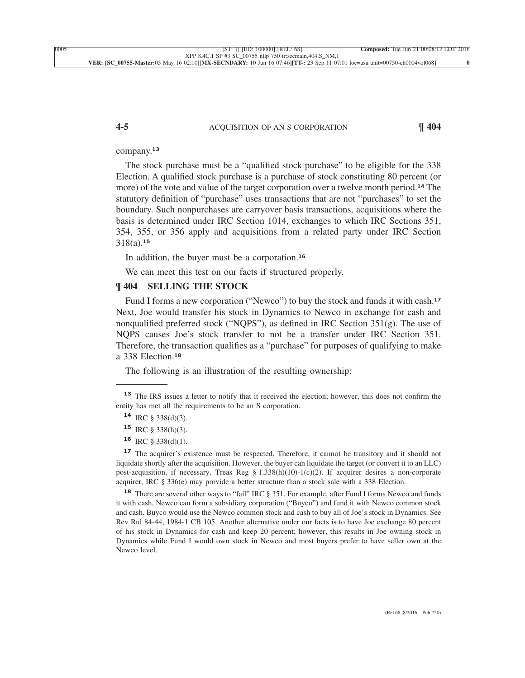### **4-5** ACQUISITION OF AN S CORPORATION **¶ 404**

[company.](xpath-> core:para,  Default,  para-list,  style_01)**<sup>13</sup>**

[The stock purchase must be a "qualified stock purchase" to be eligible for the 338](xpath-> core:para,  Default,  para-list,  style_01) [Election. A qualified stock purchase is a purchase of stock constituting 80 percent \(or](xpath-> core:para,  Default,  para-list,  style_01) [more\) of the vote and value of the target corporation over a twelve month period.](xpath-> core:para,  Default,  para-list,  style_01)**<sup>14</sup>** The [statutory definition of "purchase" uses transactions that are not "purchases" to set the](xpath-> core:para,  Default,  para-list,  style_01) [boundary. Such nonpurchases are carryover basis transactions, acquisitions where the](xpath-> core:para,  Default,  para-list,  style_01) [basis is determined under IRC Section 1014, exchanges to which IRC Sections 351,](xpath-> core:para,  Default,  para-list,  style_01) [354, 355, or 356 apply and acquisitions from a related party under IRC Section](xpath-> core:para,  Default,  para-list,  style_01) [318\(a\).](xpath-> core:para,  Default,  para-list,  style_01)**<sup>15</sup>**

[In addition, the buyer must be a corporation.](xpath-> core:para,  Default,  para-list,  style_01)**<sup>16</sup>**

[We can meet this test on our facts if structured properly.](xpath-> core:para,  Default,  para-list,  style_01)

### **[¶ 404](xpath-> core:desig,  tr:secmain/core:desig,  desig_title,  style_02) [SELLING THE STOCK](xpath-> core:title,  tr:secmain/core:title,  desig_title,  style_02)**

[Fund I forms a new corporation \("Newco"\) to buy the stock and funds it with cash.](xpath-> core:para,  Default,  para-list,  style_01)**<sup>17</sup>** [Next, Joe would transfer his stock in Dynamics to Newco in exchange for cash and](xpath-> core:para,  Default,  para-list,  style_01) nonqualified preferred stock ("NQPS"), as defined in IRC Section  $351(g)$ . The use of [NQPS causes Joe's stock transfer to not be a transfer under IRC Section 351.](xpath-> core:para,  Default,  para-list,  style_01) [Therefore, the transaction qualifies as a "purchase" for purposes of qualifying to make](xpath-> core:para,  Default,  para-list,  style_01) [a 338 Election.](xpath-> core:para,  Default,  para-list,  style_01)**<sup>18</sup>**

[The following is an illustration of the resulting ownership:](xpath-> core:para,  Default,  para-list,  style_01)

<sup>17</sup> [The acquirer's existence must be respected. Therefore, it cannot be transitory and it should not](xpath-> fn:para,  fn:footnote/fn:para,  footnote,  style_01) [liquidate shortly after the acquisition. However, the buyer can liquidate the target \(or convert it to an LLC\)](xpath-> fn:para,  fn:footnote/fn:para,  footnote,  style_01) [post-acquisition, if necessary. Treas Reg § 1.338\(h\)\(10\)-1\(c\)\(2\). If acquirer desires a non-corporate](xpath-> fn:para,  fn:footnote/fn:para,  footnote,  style_01) [acquirer, IRC § 336\(e\) may provide a better structure than a stock sale with a 338 Election.](xpath-> fn:para,  fn:footnote/fn:para,  footnote,  style_01)

**<sup>18</sup>** [There are several other ways to "fail" IRC § 351. For example, after Fund I forms Newco and funds](xpath-> fn:para,  fn:footnote/fn:para,  footnote,  style_01) [it with cash, Newco can form a subsidiary corporation \("Buyco"\) and fund it with Newco common stock](xpath-> fn:para,  fn:footnote/fn:para,  footnote,  style_01) [and cash. Buyco would use the Newco common stock and cash to buy all of Joe's stock in Dynamics. See](xpath-> fn:para,  fn:footnote/fn:para,  footnote,  style_01) [Rev Rul 84-44, 1984-1 CB 105. Another alternative under our facts is to have Joe exchange 80 percent](xpath-> fn:para,  fn:footnote/fn:para,  footnote,  style_01) [of his stock in Dynamics for cash and keep 20 percent; however, this results in Joe owning stock in](xpath-> fn:para,  fn:footnote/fn:para,  footnote,  style_01) [Dynamics while Fund I would own stock in Newco and most buyers prefer to have seller own at the](xpath-> fn:para,  fn:footnote/fn:para,  footnote,  style_01) [Newco level.](xpath-> fn:para,  fn:footnote/fn:para,  footnote,  style_01)

**<sup>13</sup>** [The IRS issues a letter to notify that it received the election; however, this does not confirm the](xpath-> fn:para,  fn:footnote/fn:para,  footnote,  style_01) [entity has met all the requirements to be an S corporation.](xpath-> fn:para,  fn:footnote/fn:para,  footnote,  style_01)

**<sup>14</sup>** [IRC § 338\(d\)\(3\).](xpath-> fn:para,  fn:footnote/fn:para,  footnote,  style_01)

**<sup>15</sup>** [IRC § 338\(h\)\(3\).](xpath-> fn:para,  fn:footnote/fn:para,  footnote,  style_01)

**<sup>16</sup>** [IRC § 338\(d\)\(1\).](xpath-> fn:para,  fn:footnote/fn:para,  footnote,  style_01)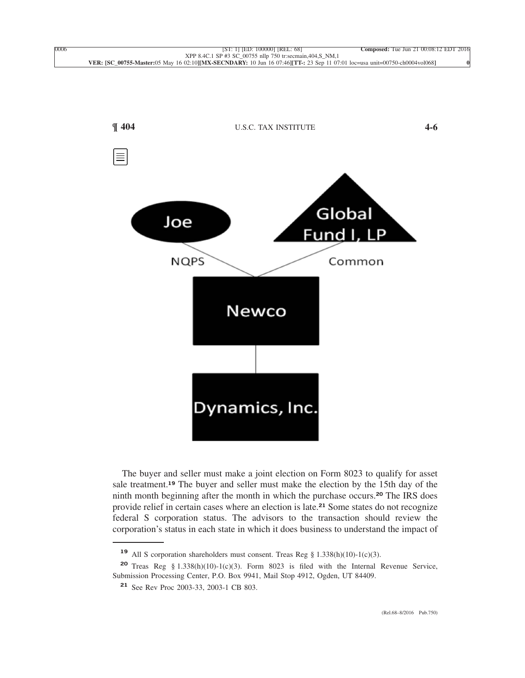

[The buyer and seller must make a joint election on Form 8023 to qualify for asset](xpath-> core:para,  Default,  para-list,  style_01) sale treatment.**<sup>19</sup>** [The buyer and seller must make the election by the 15th day of the](xpath-> core:para,  Default,  para-list,  style_01) [ninth month beginning after the month in which the purchase occurs.](xpath-> core:para,  Default,  para-list,  style_01)**<sup>20</sup>** The IRS does [provide relief in certain cases where an election is late.](xpath-> core:para,  Default,  para-list,  style_01)**<sup>21</sup>** Some states do not recognize [federal S corporation status. The advisors to the transaction should review the](xpath-> core:para,  Default,  para-list,  style_01) [corporation's status in each state in which it does business to understand the impact of](xpath-> core:para,  Default,  para-list,  style_01)

**<sup>19</sup>** [All S corporation shareholders must consent. Treas Reg § 1.338\(h\)\(10\)-1\(c\)\(3\).](xpath-> fn:para,  fn:footnote/fn:para,  footnote,  style_01)

**<sup>20</sup>** [Treas Reg § 1.338\(h\)\(10\)-1\(c\)\(3\). Form 8023 is filed with the Internal Revenue Service,](xpath-> fn:para,  fn:footnote/fn:para,  footnote,  style_01) [Submission Processing Center, P.O. Box 9941, Mail Stop 4912, Ogden, UT 84409.](xpath-> fn:para,  fn:footnote/fn:para,  footnote,  style_01)

**<sup>21</sup>** [See Rev Proc 2003-33, 2003-1 CB 803.](xpath-> fn:para,  fn:footnote/fn:para,  footnote,  style_01)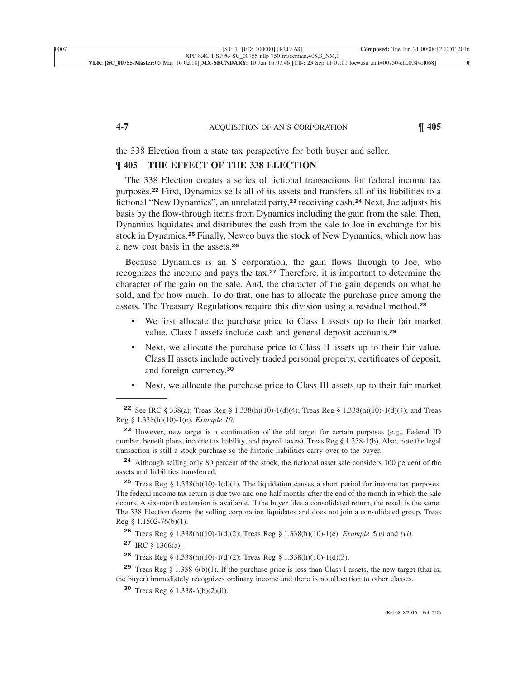#### **4-7** ACQUISITION OF AN S CORPORATION **¶ 405**

[the 338 Election from a state tax perspective for both buyer and seller.](xpath-> core:para,  Default,  para-list,  style_01)

# **[¶ 405](xpath-> core:desig,  tr:secmain/core:desig,  desig_title,  style_02) [THE EFFECT OF THE 338 ELECTION](xpath-> core:title,  tr:secmain/core:title,  desig_title,  style_02)**

[The 338 Election creates a series of fictional transactions for federal income tax](xpath-> core:para,  Default,  para-list,  style_01) purposes.**<sup>22</sup>** [First, Dynamics sells all of its assets and transfers all of its liabilities to a](xpath-> core:para,  Default,  para-list,  style_01) [fictional "New Dynamics", an unrelated party,](xpath-> core:para,  Default,  para-list,  style_01)**<sup>23</sup>** receiving cash.**<sup>24</sup>** Next, Joe adjusts his [basis by the flow-through items from Dynamics including the gain from the sale. Then,](xpath-> core:para,  Default,  para-list,  style_01) [Dynamics liquidates and distributes the cash from the sale to Joe in exchange for his](xpath-> core:para,  Default,  para-list,  style_01) stock in Dynamics.**<sup>25</sup>** [Finally, Newco buys the stock of New Dynamics, which now has](xpath-> core:para,  Default,  para-list,  style_01) [a new cost basis in the assets.](xpath-> core:para,  Default,  para-list,  style_01)**<sup>26</sup>**

[Because Dynamics is an S corporation, the gain flows through to Joe, who](xpath-> core:para,  Default,  para-list,  style_01) recognizes the income and pays the tax.**<sup>27</sup>** [Therefore, it is important to determine the](xpath-> core:para,  Default,  para-list,  style_01) [character of the gain on the sale. And, the character of the gain depends on what he](xpath-> core:para,  Default,  para-list,  style_01) [sold, and for how much. To do that, one has to allocate the purchase price among the](xpath-> core:para,  Default,  para-list,  style_01) [assets. The Treasury Regulations require this division using a residual method.](xpath-> core:para,  Default,  para-list,  style_01)**<sup>28</sup>**

- We first allocate the purchase price to Class I assets up to their fair market [value. Class I assets include cash and general deposit accounts.](xpath-> core:para,  core:listitem/core:para,  para-list,  style_01)**<sup>29</sup>**
- [•](xpath-> core:enum,  core:listitem/core:enum,  para-list,  style_01) [Next, we allocate the purchase price to Class II assets up to their fair value.](xpath-> core:para,  core:listitem/core:para,  para-list,  style_01) [Class II assets include actively traded personal property, certificates of deposit,](xpath-> core:para,  core:listitem/core:para,  para-list,  style_01) [and foreign currency.](xpath-> core:para,  core:listitem/core:para,  para-list,  style_01)**<sup>30</sup>**
- [•](xpath-> core:enum,  core:listitem/core:enum,  para-list,  style_01) [Next, we allocate the purchase price to Class III assets up to their fair market](xpath-> core:para,  core:listitem/core:para,  para-list,  style_01)

**<sup>24</sup>** [Although selling only 80 percent of the stock, the fictional asset sale considers 100 percent of the](xpath-> fn:para,  fn:footnote/fn:para,  footnote,  style_01) [assets and liabilities transferred.](xpath-> fn:para,  fn:footnote/fn:para,  footnote,  style_01)

**<sup>25</sup>** [Treas Reg § 1.338\(h\)\(10\)-1\(d\)\(4\). The liquidation causes a short period for income tax purposes.](xpath-> fn:para,  fn:footnote/fn:para,  footnote,  style_01) [The federal income tax return is due two and one-half months after the end of the month in which the sale](xpath-> fn:para,  fn:footnote/fn:para,  footnote,  style_01) [occurs. A six-month extension is available. If the buyer files a consolidated return, the result is the same.](xpath-> fn:para,  fn:footnote/fn:para,  footnote,  style_01) [The 338 Election deems the selling corporation liquidates and does not join a consolidated group. Treas](xpath-> fn:para,  fn:footnote/fn:para,  footnote,  style_01) [Reg § 1.1502-76\(b\)\(1\).](xpath-> fn:para,  fn:footnote/fn:para,  footnote,  style_01)

**<sup>26</sup>** [Treas Reg § 1.338\(h\)\(10\)-1\(d\)\(2\); Treas Reg § 1.338\(h\)\(10\)-1\(e\),](xpath-> fn:para,  fn:footnote/fn:para,  footnote,  style_01) *Example 5(v)* and *(vi)*.

**<sup>27</sup>** [IRC § 1366\(a\).](xpath-> fn:para,  fn:footnote/fn:para,  footnote,  style_01)

**<sup>28</sup>** [Treas Reg § 1.338\(h\)\(10\)-1\(d\)\(2\); Treas Reg § 1.338\(h\)\(10\)-1\(d\)\(3\).](xpath-> fn:para,  fn:footnote/fn:para,  footnote,  style_01)

**<sup>29</sup>** [Treas Reg § 1.338-6\(b\)\(1\). If the purchase price is less than Class I assets, the new target \(that is,](xpath-> fn:para,  fn:footnote/fn:para,  footnote,  style_01) [the buyer\) immediately recognizes ordinary income and there is no allocation to other classes.](xpath-> fn:para,  fn:footnote/fn:para,  footnote,  style_01)

**<sup>30</sup>** [Treas Reg § 1.338-6\(b\)\(2\)\(ii\).](xpath-> fn:para,  fn:footnote/fn:para,  footnote,  style_01)

**<sup>22</sup>** [See IRC § 338\(a\); Treas Reg § 1.338\(h\)\(10\)-1\(d\)\(4\); Treas Reg § 1.338\(h\)\(10\)-1\(d\)\(4\); and Treas](xpath-> fn:para,  fn:footnote/fn:para,  footnote,  style_01) [Reg § 1.338\(h\)\(10\)-1\(e\),](xpath-> fn:para,  fn:footnote/fn:para,  footnote,  style_01) *Example 10*.

**<sup>23</sup>** [However, new target is a continuation of the old target for certain purposes \(e.g., Federal ID](xpath-> fn:para,  fn:footnote/fn:para,  footnote,  style_01) [number, benefit plans, income tax liability, and payroll taxes\). Treas Reg § 1.338-1\(b\). Also, note the legal](xpath-> fn:para,  fn:footnote/fn:para,  footnote,  style_01) [transaction is still a stock purchase so the historic liabilities carry over to the buyer.](xpath-> fn:para,  fn:footnote/fn:para,  footnote,  style_01)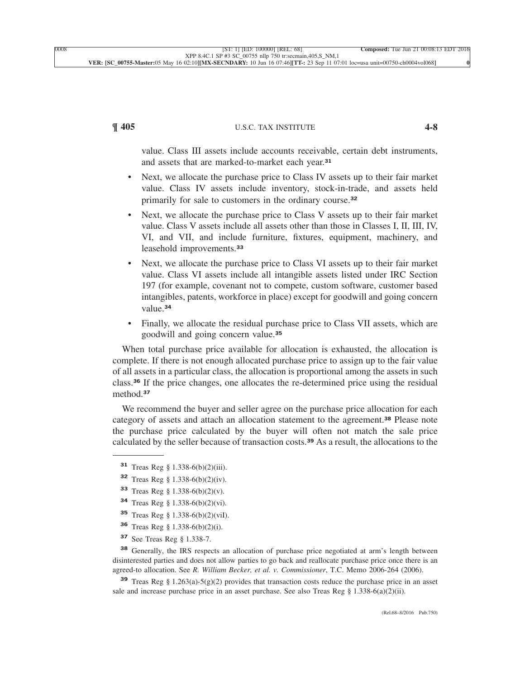# **¶ 405** U.S.C. TAX INSTITUTE **4-8**

value. Class III assets include accounts receivable, certain debt instruments, [and assets that are marked-to-market each year.](xpath-> core:para,  core:listitem/core:para,  para-list,  style_01)**<sup>31</sup>**

- [•](xpath-> core:enum,  core:listitem/core:enum,  para-list,  style_01) [Next, we allocate the purchase price to Class IV assets up to their fair market](xpath-> core:para,  core:listitem/core:para,  para-list,  style_01) [value. Class IV assets include inventory, stock-in-trade, and assets held](xpath-> core:para,  core:listitem/core:para,  para-list,  style_01) [primarily for sale to customers in the ordinary course.](xpath-> core:para,  core:listitem/core:para,  para-list,  style_01)**<sup>32</sup>**
- [•](xpath-> core:enum,  core:listitem/core:enum,  para-list,  style_01) [Next, we allocate the purchase price to Class V assets up to their fair market](xpath-> core:para,  core:listitem/core:para,  para-list,  style_01) [value. Class V assets include all assets other than those in Classes I, II, III, IV,](xpath-> core:para,  core:listitem/core:para,  para-list,  style_01) [VI, and VII, and include furniture, fixtures, equipment, machinery, and](xpath-> core:para,  core:listitem/core:para,  para-list,  style_01) [leasehold improvements.](xpath-> core:para,  core:listitem/core:para,  para-list,  style_01)**<sup>33</sup>**
- Next, we allocate the purchase price to Class VI assets up to their fair market [value. Class VI assets include all intangible assets listed under IRC Section](xpath-> core:para,  core:listitem/core:para,  para-list,  style_01) [197 \(for example, covenant not to compete, custom software, customer based](xpath-> core:para,  core:listitem/core:para,  para-list,  style_01) [intangibles, patents, workforce in place\) except for goodwill and going concern](xpath-> core:para,  core:listitem/core:para,  para-list,  style_01) [value.](xpath-> core:para,  core:listitem/core:para,  para-list,  style_01)**<sup>34</sup>**
- [•](xpath-> core:enum,  core:listitem/core:enum,  para-list,  style_01) [Finally, we allocate the residual purchase price to Class VII assets, which are](xpath-> core:para,  core:listitem/core:para,  para-list,  style_01) [goodwill and going concern value.](xpath-> core:para,  core:listitem/core:para,  para-list,  style_01)**<sup>35</sup>**

[When total purchase price available for allocation is exhausted, the allocation is](xpath-> core:para,  Default,  para-list,  style_01) [complete. If there is not enough allocated purchase price to assign up to the fair value](xpath-> core:para,  Default,  para-list,  style_01) [of all assets in a particular class, the allocation is proportional among the assets in such](xpath-> core:para,  Default,  para-list,  style_01) class.**<sup>36</sup>** [If the price changes, one allocates the re-determined price using the residual](xpath-> core:para,  Default,  para-list,  style_01) [method.](xpath-> core:para,  Default,  para-list,  style_01)**<sup>37</sup>**

[We recommend the buyer and seller agree on the purchase price allocation for each](xpath-> core:para,  Default,  para-list,  style_01) [category of assets and attach an allocation statement to the agreement.](xpath-> core:para,  Default,  para-list,  style_01)**<sup>38</sup>** Please note [the purchase price calculated by the buyer will often not match the sale price](xpath-> core:para,  Default,  para-list,  style_01) [calculated by the seller because of transaction costs.](xpath-> core:para,  Default,  para-list,  style_01)**<sup>39</sup>** As a result, the allocations to the

- **<sup>32</sup>** [Treas Reg § 1.338-6\(b\)\(2\)\(iv\).](xpath-> fn:para,  fn:footnote/fn:para,  footnote,  style_01)
- **<sup>33</sup>** [Treas Reg § 1.338-6\(b\)\(2\)\(v\).](xpath-> fn:para,  fn:footnote/fn:para,  footnote,  style_01)
- **<sup>34</sup>** [Treas Reg § 1.338-6\(b\)\(2\)\(vi\).](xpath-> fn:para,  fn:footnote/fn:para,  footnote,  style_01)
- **<sup>35</sup>** [Treas Reg § 1.338-6\(b\)\(2\)\(viI\).](xpath-> fn:para,  fn:footnote/fn:para,  footnote,  style_01)
- **<sup>36</sup>** [Treas Reg § 1.338-6\(b\)\(2\)\(i\).](xpath-> fn:para,  fn:footnote/fn:para,  footnote,  style_01)
- **<sup>37</sup>** [See Treas Reg § 1.338-7.](xpath-> fn:para,  fn:footnote/fn:para,  footnote,  style_01)

**<sup>38</sup>** [Generally, the IRS respects an allocation of purchase price negotiated at arm's length between](xpath-> fn:para,  fn:footnote/fn:para,  footnote,  style_01) [disinterested parties and does not allow parties to go back and reallocate purchase price once there is an](xpath-> fn:para,  fn:footnote/fn:para,  footnote,  style_01) agreed-to allocation. See *[R. William Becker, et al. v. Commissioner](xpath-> fn:para,  fn:footnote/fn:para,  footnote,  style_01)*, T.C. Memo 2006-264 (2006).

**<sup>39</sup>** [Treas Reg § 1.263\(a\)-5\(g\)\(2\) provides that transaction costs reduce the purchase price in an asset](xpath-> fn:para,  fn:footnote/fn:para,  footnote,  style_01) sale and increase purchase price in an asset purchase. See also Treas Reg  $\S$  1.338-6(a)(2)(ii).

**<sup>31</sup>** [Treas Reg § 1.338-6\(b\)\(2\)\(iii\).](xpath-> fn:para,  fn:footnote/fn:para,  footnote,  style_01)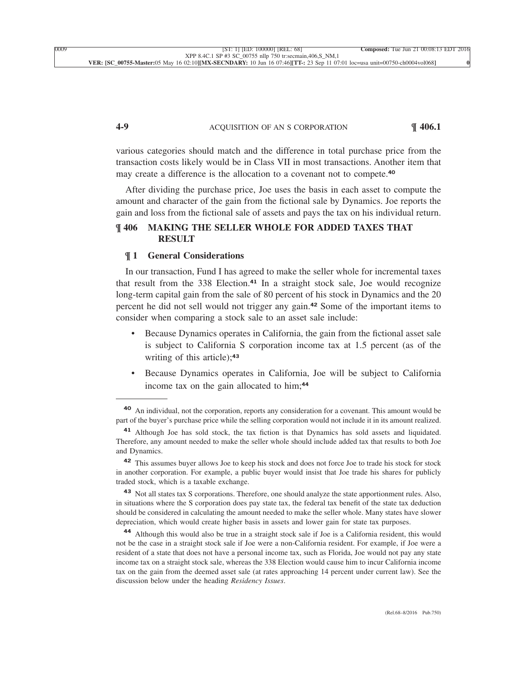# **4-9** ACQUISITION OF AN S CORPORATION **¶ 406.1**

various categories should match and the difference in total purchase price from the transaction costs likely would be in Class VII in most transactions. Another item that [may create a difference is the allocation to a covenant not to compete.](xpath-> core:para,  Default,  para-list,  style_01)**<sup>40</sup>**

[After dividing the purchase price, Joe uses the basis in each asset to compute the](xpath-> core:para,  Default,  para-list,  style_01) [amount and character of the gain from the fictional sale by Dynamics. Joe reports the](xpath-> core:para,  Default,  para-list,  style_01) [gain and loss from the fictional sale of assets and pays the tax on his individual return.](xpath-> core:para,  Default,  para-list,  style_01)

# **[¶ 406](xpath-> core:desig,  tr:secmain/core:desig,  desig_title,  style_02) [MAKING THE SELLER WHOLE FOR ADDED TAXES THAT](xpath-> core:title,  tr:secmain/core:title,  desig_title,  style_02) [RESULT](xpath-> core:title,  tr:secmain/core:title,  desig_title,  style_02)**

### **¶ 1 [General Considerations](xpath-> core:title,  tr:secsub1/core:title,  desig_title,  style_02)**

[In our transaction, Fund I has agreed to make the seller whole for incremental taxes](xpath-> core:para,  Default,  para-list,  style_01) that result from the 338 Election.**<sup>41</sup>** [In a straight stock sale, Joe would recognize](xpath-> core:para,  Default,  para-list,  style_01) [long-term capital gain from the sale of 80 percent of his stock in Dynamics and the 20](xpath-> core:para,  Default,  para-list,  style_01) [percent he did not sell would not trigger any gain.](xpath-> core:para,  Default,  para-list,  style_01)**<sup>42</sup>** Some of the important items to [consider when comparing a stock sale to an asset sale include:](xpath-> core:para,  Default,  para-list,  style_01)

- [•](xpath-> core:enum,  core:listitem/core:enum,  para-list,  style_01) [Because Dynamics operates in California, the gain from the fictional asset sale](xpath-> core:para,  core:listitem/core:para,  para-list,  style_01) [is subject to California S corporation income tax at 1.5 percent \(as of the](xpath-> core:para,  core:listitem/core:para,  para-list,  style_01) [writing of this article\);](xpath-> core:para,  core:listitem/core:para,  para-list,  style_01)**<sup>43</sup>**
- [•](xpath-> core:enum,  core:listitem/core:enum,  para-list,  style_01) [Because Dynamics operates in California, Joe will be subject to California](xpath-> core:para,  core:listitem/core:para,  para-list,  style_01) [income tax on the gain allocated to him;](xpath-> core:para,  core:listitem/core:para,  para-list,  style_01)**<sup>44</sup>**

**<sup>40</sup>** [An individual, not the corporation, reports any consideration for a covenant. This amount would be](xpath-> fn:para,  fn:footnote/fn:para,  footnote,  style_01) [part of the buyer's purchase price while the selling corporation would not include it in its amount realized.](xpath-> fn:para,  fn:footnote/fn:para,  footnote,  style_01)

**<sup>41</sup>** [Although Joe has sold stock, the tax fiction is that Dynamics has sold assets and liquidated.](xpath-> fn:para,  fn:footnote/fn:para,  footnote,  style_01) [Therefore, any amount needed to make the seller whole should include added tax that results to both Joe](xpath-> fn:para,  fn:footnote/fn:para,  footnote,  style_01) [and Dynamics.](xpath-> fn:para,  fn:footnote/fn:para,  footnote,  style_01)

**<sup>42</sup>** [This assumes buyer allows Joe to keep his stock and does not force Joe to trade his stock for stock](xpath-> fn:para,  fn:footnote/fn:para,  footnote,  style_01) [in another corporation. For example, a public buyer would insist that Joe trade his shares for publicly](xpath-> fn:para,  fn:footnote/fn:para,  footnote,  style_01) [traded stock, which is a taxable exchange.](xpath-> fn:para,  fn:footnote/fn:para,  footnote,  style_01)

**<sup>43</sup>** [Not all states tax S corporations. Therefore, one should analyze the state apportionment rules. Also,](xpath-> fn:para,  fn:footnote/fn:para,  footnote,  style_01) [in situations where the S corporation does pay state tax, the federal tax benefit of the state tax deduction](xpath-> fn:para,  fn:footnote/fn:para,  footnote,  style_01) [should be considered in calculating the amount needed to make the seller whole. Many states have slower](xpath-> fn:para,  fn:footnote/fn:para,  footnote,  style_01) [depreciation, which would create higher basis in assets and lower gain for state tax purposes.](xpath-> fn:para,  fn:footnote/fn:para,  footnote,  style_01)

**<sup>44</sup>** [Although this would also be true in a straight stock sale if Joe is a California resident, this would](xpath-> fn:para,  fn:footnote/fn:para,  footnote,  style_01) [not be the case in a straight stock sale if Joe were a non-California resident. For example, if Joe were a](xpath-> fn:para,  fn:footnote/fn:para,  footnote,  style_01) [resident of a state that does not have a personal income tax, such as Florida, Joe would not pay any state](xpath-> fn:para,  fn:footnote/fn:para,  footnote,  style_01) [income tax on a straight stock sale, whereas the 338 Election would cause him to incur California income](xpath-> fn:para,  fn:footnote/fn:para,  footnote,  style_01) [tax on the gain from the deemed asset sale \(at rates approaching 14 percent under current law\). See the](xpath-> fn:para,  fn:footnote/fn:para,  footnote,  style_01) [discussion below under the heading](xpath-> fn:para,  fn:footnote/fn:para,  footnote,  style_01) *Residency Issues*.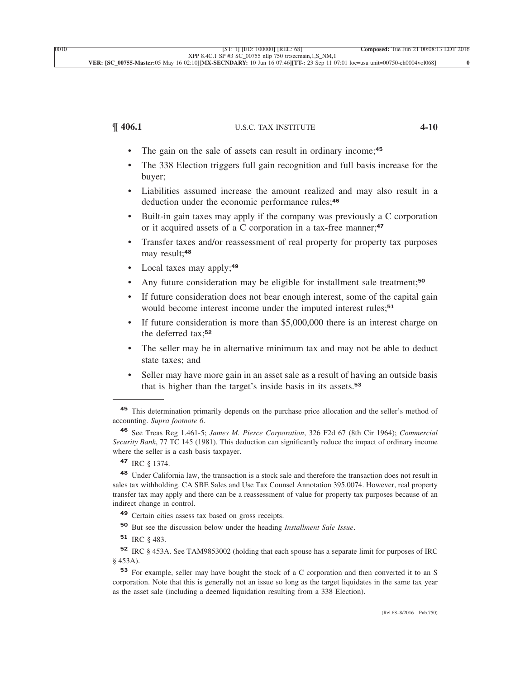# **¶ 406.1** U.S.C. TAX INSTITUTE **4-10**

- [•](xpath-> core:enum,  core:listitem/core:enum,  para-list,  style_01) [The gain on the sale of assets can result in ordinary income;](xpath-> core:para,  core:listitem/core:para,  para-list,  style_01)**<sup>45</sup>**
- The 338 Election triggers full gain recognition and full basis increase for the [buyer;](xpath-> core:para,  core:listitem/core:para,  para-list,  style_01)
- [•](xpath-> core:enum,  core:listitem/core:enum,  para-list,  style_01) [Liabilities assumed increase the amount realized and may also result in a](xpath-> core:para,  core:listitem/core:para,  para-list,  style_01) [deduction under the economic performance rules;](xpath-> core:para,  core:listitem/core:para,  para-list,  style_01)**<sup>46</sup>**
- [•](xpath-> core:enum,  core:listitem/core:enum,  para-list,  style_01) [Built-in gain taxes may apply if the company was previously a C corporation](xpath-> core:para,  core:listitem/core:para,  para-list,  style_01) [or it acquired assets of a C corporation in a tax-free manner;](xpath-> core:para,  core:listitem/core:para,  para-list,  style_01)**<sup>47</sup>**
- [•](xpath-> core:enum,  core:listitem/core:enum,  para-list,  style_01) [Transfer taxes and/or reassessment of real property for property tax purposes](xpath-> core:para,  core:listitem/core:para,  para-list,  style_01) [may result;](xpath-> core:para,  core:listitem/core:para,  para-list,  style_01)**<sup>48</sup>**
- [•](xpath-> core:enum,  core:listitem/core:enum,  para-list,  style_01) [Local taxes may apply;](xpath-> core:para,  core:listitem/core:para,  para-list,  style_01)**<sup>49</sup>**
- [•](xpath-> core:enum,  core:listitem/core:enum,  para-list,  style_01) [Any future consideration may be eligible for installment sale treatment;](xpath-> core:para,  core:listitem/core:para,  para-list,  style_01)**<sup>50</sup>**
- If future consideration does not bear enough interest, some of the capital gain [would become interest income under the imputed interest rules;](xpath-> core:para,  core:listitem/core:para,  para-list,  style_01)**<sup>51</sup>**
- [•](xpath-> core:enum,  core:listitem/core:enum,  para-list,  style_01) [If future consideration is more than \\$5,000,000 there is an interest charge on](xpath-> core:para,  core:listitem/core:para,  para-list,  style_01) [the deferred tax;](xpath-> core:para,  core:listitem/core:para,  para-list,  style_01)**<sup>52</sup>**
- [•](xpath-> core:enum,  core:listitem/core:enum,  para-list,  style_01) [The seller may be in alternative minimum tax and may not be able to deduct](xpath-> core:para,  core:listitem/core:para,  para-list,  style_01) [state taxes; and](xpath-> core:para,  core:listitem/core:para,  para-list,  style_01)
- [•](xpath-> core:enum,  core:listitem/core:enum,  para-list,  style_01) [Seller may have more gain in an asset sale as a result of having an outside basis](xpath-> core:para,  core:listitem/core:para,  para-list,  style_01) [that is higher than the target's inside basis in its assets.](xpath-> core:para,  core:listitem/core:para,  para-list,  style_01)**<sup>53</sup>**

**<sup>48</sup>** [Under California law, the transaction is a stock sale and therefore the transaction does not result in](xpath-> fn:para,  fn:footnote/fn:para,  footnote,  style_01) [sales tax withholding. CA SBE Sales and Use Tax Counsel Annotation 395.0074. However, real property](xpath-> fn:para,  fn:footnote/fn:para,  footnote,  style_01) [transfer tax may apply and there can be a reassessment of value for property tax purposes because of an](xpath-> fn:para,  fn:footnote/fn:para,  footnote,  style_01) [indirect change in control.](xpath-> fn:para,  fn:footnote/fn:para,  footnote,  style_01)

**<sup>50</sup>** [But see the discussion below under the heading](xpath-> fn:para,  fn:footnote/fn:para,  footnote,  style_01) *Installment Sale Issue*.

**<sup>52</sup>** [IRC § 453A. See TAM9853002 \(holding that each spouse has a separate limit for purposes of IRC](xpath-> fn:para,  fn:footnote/fn:para,  footnote,  style_01) [§ 453A\).](xpath-> fn:para,  fn:footnote/fn:para,  footnote,  style_01)

**<sup>53</sup>** [For example, seller may have bought the stock of a C corporation and then converted it to an S](xpath-> fn:para,  fn:footnote/fn:para,  footnote,  style_01) [corporation. Note that this is generally not an issue so long as the target liquidates in the same tax year](xpath-> fn:para,  fn:footnote/fn:para,  footnote,  style_01) [as the asset sale \(including a deemed liquidation resulting from a 338 Election\).](xpath-> fn:para,  fn:footnote/fn:para,  footnote,  style_01)

**<sup>45</sup>** [This determination primarily depends on the purchase price allocation and the seller's method of](xpath-> fn:para,  fn:footnote/fn:para,  footnote,  style_01) accounting. *[Supra footnote 6](xpath-> fn:para,  fn:footnote/fn:para,  footnote,  style_01)*.

**<sup>46</sup>** See Treas Reg 1.461-5; *[James M. Pierce Corporation](xpath-> fn:para,  fn:footnote/fn:para,  footnote,  style_01)*, 326 F2d 67 (8th Cir 1964); *Commercial Security Bank*[, 77 TC 145 \(1981\). This deduction can significantly reduce the impact of ordinary income](xpath-> fn:para,  fn:footnote/fn:para,  footnote,  style_01) [where the seller is a cash basis taxpayer.](xpath-> fn:para,  fn:footnote/fn:para,  footnote,  style_01)

**<sup>47</sup>** [IRC § 1374.](xpath-> fn:para,  fn:footnote/fn:para,  footnote,  style_01)

**<sup>49</sup>** [Certain cities assess tax based on gross receipts.](xpath-> fn:para,  fn:footnote/fn:para,  footnote,  style_01)

**<sup>51</sup>** [IRC § 483.](xpath-> fn:para,  fn:footnote/fn:para,  footnote,  style_01)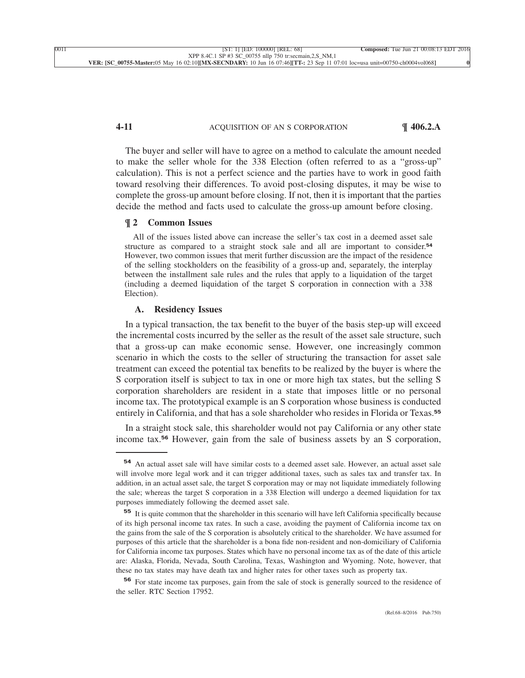### **4-11** ACQUISITION OF AN S CORPORATION **¶ 406.2.A**

[The buyer and seller will have to agree on a method to calculate the amount needed](xpath-> core:para,  Default,  para-list,  style_01) [to make the seller whole for the 338 Election \(often referred to as a "gross-up"](xpath-> core:para,  Default,  para-list,  style_01) [calculation\). This is not a perfect science and the parties have to work in good faith](xpath-> core:para,  Default,  para-list,  style_01) [toward resolving their differences. To avoid post-closing disputes, it may be wise to](xpath-> core:para,  Default,  para-list,  style_01) [complete the gross-up amount before closing. If not, then it is important that the parties](xpath-> core:para,  Default,  para-list,  style_01) [decide the method and facts used to calculate the gross-up amount before closing.](xpath-> core:para,  Default,  para-list,  style_01)

### **¶ 2 [Common Issues](xpath-> core:title,  tr:secsub1/core:title,  desig_title,  style_02)**

[All of the issues listed above can increase the seller's tax cost in a deemed asset sale](xpath-> core:para,  core:abstract/core:para,  abstract,  style_01) [structure as compared to a straight stock sale and all are important to consider.](xpath-> core:para,  core:abstract/core:para,  abstract,  style_01)**<sup>54</sup>** [However, two common issues that merit further discussion are the impact of the residence](xpath-> core:para,  core:abstract/core:para,  abstract,  style_01) [of the selling stockholders on the feasibility of a gross-up and, separately, the interplay](xpath-> core:para,  core:abstract/core:para,  abstract,  style_01) [between the installment sale rules and the rules that apply to a liquidation of the target](xpath-> core:para,  core:abstract/core:para,  abstract,  style_01) [\(including a deemed liquidation of the target S corporation in connection with a 338](xpath-> core:para,  core:abstract/core:para,  abstract,  style_01) [Election\).](xpath-> core:para,  core:abstract/core:para,  abstract,  style_01)

#### **[A.](xpath-> core:desig,  tr:secsub2/core:desig,  desig_title,  style_02) [Residency Issues](xpath-> core:title,  tr:secsub2/core:title,  desig_title,  style_02)**

[In a typical transaction, the tax benefit to the buyer of the basis step-up will exceed](xpath-> core:para,  Default,  para-list,  style_01) [the incremental costs incurred by the seller as the result of the asset sale structure, such](xpath-> core:para,  Default,  para-list,  style_01) [that a gross-up can make economic sense. However, one increasingly common](xpath-> core:para,  Default,  para-list,  style_01) [scenario in which the costs to the seller of structuring the transaction for asset sale](xpath-> core:para,  Default,  para-list,  style_01) [treatment can exceed the potential tax benefits to be realized by the buyer is where the](xpath-> core:para,  Default,  para-list,  style_01) [S corporation itself is subject to tax in one or more high tax states, but the selling S](xpath-> core:para,  Default,  para-list,  style_01) [corporation shareholders are resident in a state that imposes little or no personal](xpath-> core:para,  Default,  para-list,  style_01) [income tax. The prototypical example is an S corporation whose business is conducted](xpath-> core:para,  Default,  para-list,  style_01) [entirely in California, and that has a sole shareholder who resides in Florida or Texas.](xpath-> core:para,  Default,  para-list,  style_01)**<sup>55</sup>**

[In a straight stock sale, this shareholder would not pay California or any other state](xpath-> core:para,  Default,  para-list,  style_01) income tax.**<sup>56</sup>** [However, gain from the sale of business assets by an S corporation,](xpath-> core:para,  Default,  para-list,  style_01)

**<sup>54</sup>** [An actual asset sale will have similar costs to a deemed asset sale. However, an actual asset sale](xpath-> fn:para,  fn:footnote/fn:para,  footnote,  style_01) [will involve more legal work and it can trigger additional taxes, such as sales tax and transfer tax. In](xpath-> fn:para,  fn:footnote/fn:para,  footnote,  style_01) [addition, in an actual asset sale, the target S corporation may or may not liquidate immediately following](xpath-> fn:para,  fn:footnote/fn:para,  footnote,  style_01) [the sale; whereas the target S corporation in a 338 Election will undergo a deemed liquidation for tax](xpath-> fn:para,  fn:footnote/fn:para,  footnote,  style_01) [purposes immediately following the deemed asset sale.](xpath-> fn:para,  fn:footnote/fn:para,  footnote,  style_01)

**<sup>55</sup>** [It is quite common that the shareholder in this scenario will have left California specifically because](xpath-> fn:para,  fn:footnote/fn:para,  footnote,  style_01) [of its high personal income tax rates. In such a case, avoiding the payment of California income tax on](xpath-> fn:para,  fn:footnote/fn:para,  footnote,  style_01) [the gains from the sale of the S corporation is absolutely critical to the shareholder. We have assumed for](xpath-> fn:para,  fn:footnote/fn:para,  footnote,  style_01) [purposes of this article that the shareholder is a bona fide non-resident and non-domiciliary of California](xpath-> fn:para,  fn:footnote/fn:para,  footnote,  style_01) [for California income tax purposes. States which have no personal income tax as of the date of this article](xpath-> fn:para,  fn:footnote/fn:para,  footnote,  style_01) [are: Alaska, Florida, Nevada, South Carolina, Texas, Washington and Wyoming. Note, however, that](xpath-> fn:para,  fn:footnote/fn:para,  footnote,  style_01) [these no tax states may have death tax and higher rates for other taxes such as property tax.](xpath-> fn:para,  fn:footnote/fn:para,  footnote,  style_01)

**<sup>56</sup>** [For state income tax purposes, gain from the sale of stock is generally sourced to the residence of](xpath-> fn:para,  fn:footnote/fn:para,  footnote,  style_01) [the seller. RTC Section 17952.](xpath-> fn:para,  fn:footnote/fn:para,  footnote,  style_01)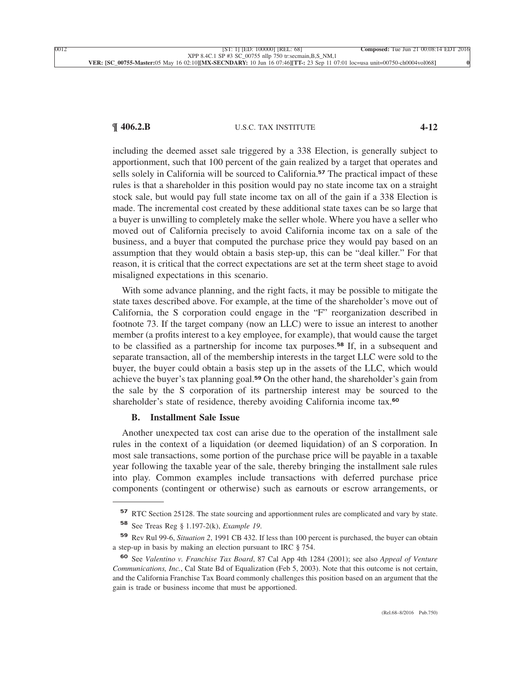# **¶ 406.2.B** U.S.C. TAX INSTITUTE **4-12**

including the deemed asset sale triggered by a 338 Election, is generally subject to apportionment, such that 100 percent of the gain realized by a target that operates and sells solely in California will be sourced to California.**<sup>57</sup>** The practical impact of these rules is that a shareholder in this position would pay no state income tax on a straight stock sale, but would pay full state income tax on all of the gain if a 338 Election is made. The incremental cost created by these additional state taxes can be so large that a buyer is unwilling to completely make the seller whole. Where you have a seller who moved out of California precisely to avoid California income tax on a sale of the business, and a buyer that computed the purchase price they would pay based on an assumption that they would obtain a basis step-up, this can be "deal killer." For that reason, it is critical that the correct expectations are set at the term sheet stage to avoid [misaligned expectations in this scenario.](xpath-> core:para,  Default,  para-list,  style_01)

[With some advance planning, and the right facts, it may be possible to mitigate the](xpath-> core:para,  Default,  para-list,  style_01) [state taxes described above. For example, at the time of the shareholder's move out of](xpath-> core:para,  Default,  para-list,  style_01) [California, the S corporation could engage in the "F" reorganization described in](xpath-> core:para,  Default,  para-list,  style_01) [footnote 73. If the target company \(now an LLC\) were to issue an interest to another](xpath-> core:para,  Default,  para-list,  style_01) [member \(a profits interest to a key employee, for example\), that would cause the target](xpath-> core:para,  Default,  para-list,  style_01) [to be classified as a partnership for income tax purposes.](xpath-> core:para,  Default,  para-list,  style_01)**<sup>58</sup>** If, in a subsequent and [separate transaction, all of the membership interests in the target LLC were sold to the](xpath-> core:para,  Default,  para-list,  style_01) [buyer, the buyer could obtain a basis step up in the assets of the LLC, which would](xpath-> core:para,  Default,  para-list,  style_01) achieve the buyer's tax planning goal.**<sup>59</sup>** [On the other hand, the shareholder's gain from](xpath-> core:para,  Default,  para-list,  style_01) [the sale by the S corporation of its partnership interest may be sourced to the](xpath-> core:para,  Default,  para-list,  style_01) [shareholder's state of residence, thereby avoiding California income tax.](xpath-> core:para,  Default,  para-list,  style_01)**<sup>60</sup>**

#### **[B.](xpath-> core:desig,  tr:secsub2/core:desig,  desig_title,  style_02) [Installment Sale Issue](xpath-> core:title,  tr:secsub2/core:title,  desig_title,  style_02)**

[Another unexpected tax cost can arise due to the operation of the installment sale](xpath-> core:para,  Default,  para-list,  style_01) [rules in the context of a liquidation \(or deemed liquidation\) of an S corporation. In](xpath-> core:para,  Default,  para-list,  style_01) [most sale transactions, some portion of the purchase price will be payable in a taxable](xpath-> core:para,  Default,  para-list,  style_01) [year following the taxable year of the sale, thereby bringing the installment sale rules](xpath-> core:para,  Default,  para-list,  style_01) [into play. Common examples include transactions with deferred purchase price](xpath-> core:para,  Default,  para-list,  style_01) [components \(contingent or otherwise\) such as earnouts or escrow arrangements, or](xpath-> core:para,  Default,  para-list,  style_01)

**<sup>57</sup>** [RTC Section 25128. The state sourcing and apportionment rules are complicated and vary by state.](xpath-> fn:para,  fn:footnote/fn:para,  footnote,  style_01)

**<sup>58</sup>** [See Treas Reg § 1.197-2\(k\),](xpath-> fn:para,  fn:footnote/fn:para,  footnote,  style_01) *Example 19*.

**<sup>59</sup>** Rev Rul 99-6, *Situation 2*[, 1991 CB 432. If less than 100 percent is purchased, the buyer can obtain](xpath-> fn:para,  fn:footnote/fn:para,  footnote,  style_01) [a step-up in basis by making an election pursuant to IRC § 754.](xpath-> fn:para,  fn:footnote/fn:para,  footnote,  style_01)

**<sup>60</sup>** See *Valentino v. Franchise Tax Board*[, 87 Cal App 4th 1284 \(2001\); see also](xpath-> fn:para,  fn:footnote/fn:para,  footnote,  style_01) *Appeal of Venture Communications, Inc.*[, Cal State Bd of Equalization \(Feb 5, 2003\). Note that this outcome is not certain,](xpath-> fn:para,  fn:footnote/fn:para,  footnote,  style_01) [and the California Franchise Tax Board commonly challenges this position based on an argument that the](xpath-> fn:para,  fn:footnote/fn:para,  footnote,  style_01) [gain is trade or business income that must be apportioned.](xpath-> fn:para,  fn:footnote/fn:para,  footnote,  style_01)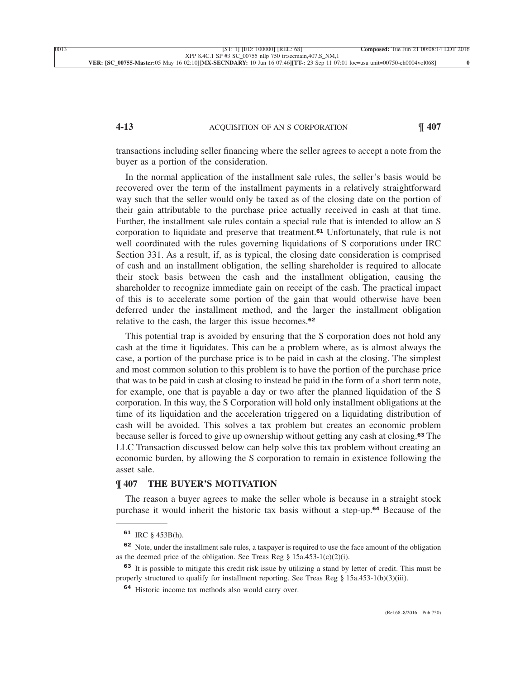### **4-13** ACQUISITION OF AN S CORPORATION **¶ 407**

transactions including seller financing where the seller agrees to accept a note from the [buyer as a portion of the consideration.](xpath-> core:para,  Default,  para-list,  style_01)

[In the normal application of the installment sale rules, the seller's basis would be](xpath-> core:para,  Default,  para-list,  style_01) [recovered over the term of the installment payments in a relatively straightforward](xpath-> core:para,  Default,  para-list,  style_01) [way such that the seller would only be taxed as of the closing date on the portion of](xpath-> core:para,  Default,  para-list,  style_01) [their gain attributable to the purchase price actually received in cash at that time.](xpath-> core:para,  Default,  para-list,  style_01) [Further, the installment sale rules contain a special rule that is intended to allow an S](xpath-> core:para,  Default,  para-list,  style_01) [corporation to liquidate and preserve that treatment.](xpath-> core:para,  Default,  para-list,  style_01)**<sup>61</sup>** Unfortunately, that rule is not [well coordinated with the rules governing liquidations of S corporations under IRC](xpath-> core:para,  Default,  para-list,  style_01) [Section 331. As a result, if, as is typical, the closing date consideration is comprised](xpath-> core:para,  Default,  para-list,  style_01) [of cash and an installment obligation, the selling shareholder is required to allocate](xpath-> core:para,  Default,  para-list,  style_01) [their stock basis between the cash and the installment obligation, causing the](xpath-> core:para,  Default,  para-list,  style_01) [shareholder to recognize immediate gain on receipt of the cash. The practical impact](xpath-> core:para,  Default,  para-list,  style_01) [of this is to accelerate some portion of the gain that would otherwise have been](xpath-> core:para,  Default,  para-list,  style_01) [deferred under the installment method, and the larger the installment obligation](xpath-> core:para,  Default,  para-list,  style_01) [relative to the cash, the larger this issue becomes.](xpath-> core:para,  Default,  para-list,  style_01)**<sup>62</sup>**

[This potential trap is avoided by ensuring that the S corporation does not hold any](xpath-> core:para,  Default,  para-list,  style_01) [cash at the time it liquidates. This can be a problem where, as is almost always the](xpath-> core:para,  Default,  para-list,  style_01) [case, a portion of the purchase price is to be paid in cash at the closing. The simplest](xpath-> core:para,  Default,  para-list,  style_01) [and most common solution to this problem is to have the portion of the purchase price](xpath-> core:para,  Default,  para-list,  style_01) [that was to be paid in cash at closing to instead be paid in the form of a short term note,](xpath-> core:para,  Default,  para-list,  style_01) [for example, one that is payable a day or two after the planned liquidation of the S](xpath-> core:para,  Default,  para-list,  style_01) [corporation. In this way, the S Corporation will hold only installment obligations at the](xpath-> core:para,  Default,  para-list,  style_01) [time of its liquidation and the acceleration triggered on a liquidating distribution of](xpath-> core:para,  Default,  para-list,  style_01) [cash will be avoided. This solves a tax problem but creates an economic problem](xpath-> core:para,  Default,  para-list,  style_01) [because seller is forced to give up ownership without getting any cash at closing.](xpath-> core:para,  Default,  para-list,  style_01)**<sup>63</sup>** The [LLC Transaction discussed below can help solve this tax problem without creating an](xpath-> core:para,  Default,  para-list,  style_01) [economic burden, by allowing the S corporation to remain in existence following the](xpath-> core:para,  Default,  para-list,  style_01) [asset sale.](xpath-> core:para,  Default,  para-list,  style_01)

#### **[¶ 407](xpath-> core:desig,  tr:secmain/core:desig,  desig_title,  style_02) [THE BUYER'S MOTIVATION](xpath-> core:title,  tr:secmain/core:title,  desig_title,  style_02)**

[The reason a buyer agrees to make the seller whole is because in a straight stock](xpath-> core:para,  Default,  para-list,  style_01) [purchase it would inherit the historic tax basis without a step-up.](xpath-> core:para,  Default,  para-list,  style_01)**<sup>64</sup>** Because of the

**<sup>61</sup>** [IRC § 453B\(h\).](xpath-> fn:para,  fn:footnote/fn:para,  footnote,  style_01)

**<sup>62</sup>** [Note, under the installment sale rules, a taxpayer is required to use the face amount of the obligation](xpath-> fn:para,  fn:footnote/fn:para,  footnote,  style_01) as the deemed price of the obligation. See Treas Reg  $\S$  15a.453-1(c)(2)(i).

**<sup>63</sup>** [It is possible to mitigate this credit risk issue by utilizing a stand by letter of credit. This must be](xpath-> fn:para,  fn:footnote/fn:para,  footnote,  style_01) [properly structured to qualify for installment reporting. See Treas Reg § 15a.453-1\(b\)\(3\)\(iii\).](xpath-> fn:para,  fn:footnote/fn:para,  footnote,  style_01)

**<sup>64</sup>** [Historic income tax methods also would carry over.](xpath-> fn:para,  fn:footnote/fn:para,  footnote,  style_01)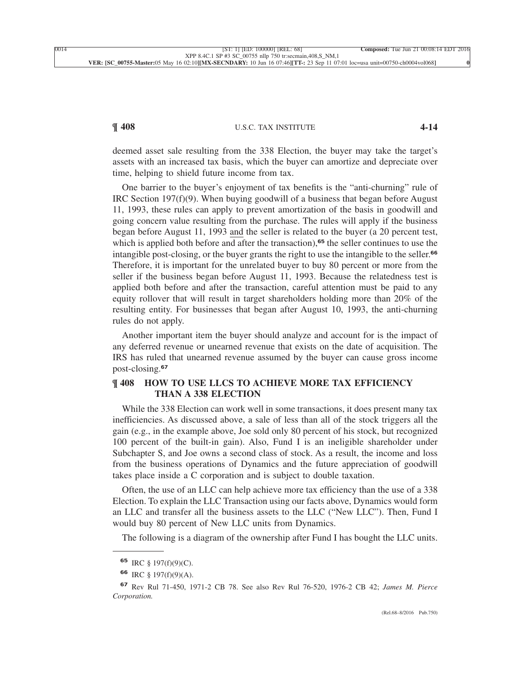## **¶ 408** U.S.C. TAX INSTITUTE **4-14**

deemed asset sale resulting from the 338 Election, the buyer may take the target's assets with an increased tax basis, which the buyer can amortize and depreciate over [time, helping to shield future income from tax.](xpath-> core:para,  Default,  para-list,  style_01)

[One barrier to the buyer's enjoyment of tax benefits is the "anti-churning" rule of](xpath-> core:para,  Default,  para-list,  style_01) IRC Section 197 $(f)(9)$ . When buying goodwill of a business that began before August [11, 1993, these rules can apply to prevent amortization of the basis in goodwill and](xpath-> core:para,  Default,  para-list,  style_01) [going concern value resulting from the purchase. The rules will apply if the business](xpath-> core:para,  Default,  para-list,  style_01) [began before August 11, 1993 and the seller is related to the buyer \(a 20 percent test,](xpath-> core:para,  Default,  para-list,  style_01) [which is applied both before and after the transaction\),](xpath-> core:para,  Default,  para-list,  style_01)<sup>65</sup> the seller continues to use the [intangible post-closing, or the buyer grants the right to use the intangible to the seller.](xpath-> core:para,  Default,  para-list,  style_01)**<sup>66</sup>** [Therefore, it is important for the unrelated buyer to buy 80 percent or more from the](xpath-> core:para,  Default,  para-list,  style_01) [seller if the business began before August 11, 1993. Because the relatedness test is](xpath-> core:para,  Default,  para-list,  style_01) [applied both before and after the transaction, careful attention must be paid to any](xpath-> core:para,  Default,  para-list,  style_01) [equity rollover that will result in target shareholders holding more than 20% of the](xpath-> core:para,  Default,  para-list,  style_01) [resulting entity. For businesses that began after August 10, 1993, the anti-churning](xpath-> core:para,  Default,  para-list,  style_01) [rules do not apply.](xpath-> core:para,  Default,  para-list,  style_01)

[Another important item the buyer should analyze and account for is the impact of](xpath-> core:para,  Default,  para-list,  style_01) [any deferred revenue or unearned revenue that exists on the date of acquisition. The](xpath-> core:para,  Default,  para-list,  style_01) [IRS has ruled that unearned revenue assumed by the buyer can cause gross income](xpath-> core:para,  Default,  para-list,  style_01) [post-closing.](xpath-> core:para,  Default,  para-list,  style_01)**<sup>67</sup>**

### **[¶ 408](xpath-> core:desig,  tr:secmain/core:desig,  desig_title,  style_02) [HOW TO USE LLCS TO ACHIEVE MORE TAX EFFICIENCY](xpath-> core:title,  tr:secmain/core:title,  desig_title,  style_02) [THAN A 338 ELECTION](xpath-> core:title,  tr:secmain/core:title,  desig_title,  style_02)**

[While the 338 Election can work well in some transactions, it does present many tax](xpath-> core:para,  Default,  para-list,  style_01) [inefficiencies. As discussed above, a sale of less than all of the stock triggers all the](xpath-> core:para,  Default,  para-list,  style_01) [gain \(e.g., in the example above, Joe sold only 80 percent of his stock, but recognized](xpath-> core:para,  Default,  para-list,  style_01) [100 percent of the built-in gain\). Also, Fund I is an ineligible shareholder under](xpath-> core:para,  Default,  para-list,  style_01) [Subchapter S, and Joe owns a second class of stock. As a result, the income and loss](xpath-> core:para,  Default,  para-list,  style_01) [from the business operations of Dynamics and the future appreciation of goodwill](xpath-> core:para,  Default,  para-list,  style_01) [takes place inside a C corporation and is subject to double taxation.](xpath-> core:para,  Default,  para-list,  style_01)

[Often, the use of an LLC can help achieve more tax efficiency than the use of a 338](xpath-> core:para,  Default,  para-list,  style_01) [Election. To explain the LLC Transaction using our facts above, Dynamics would form](xpath-> core:para,  Default,  para-list,  style_01) [an LLC and transfer all the business assets to the LLC \("New LLC"\). Then, Fund I](xpath-> core:para,  Default,  para-list,  style_01) [would buy 80 percent of New LLC units from Dynamics.](xpath-> core:para,  Default,  para-list,  style_01)

[The following is a diagram of the ownership after Fund I has bought the LLC units.](xpath-> core:para,  Default,  para-list,  style_01)

**<sup>65</sup>** [IRC § 197\(f\)\(9\)\(C\).](xpath-> fn:para,  fn:footnote/fn:para,  footnote,  style_01)

**<sup>66</sup>** [IRC § 197\(f\)\(9\)\(A\).](xpath-> fn:para,  fn:footnote/fn:para,  footnote,  style_01)

**<sup>67</sup>** [Rev Rul 71-450, 1971-2 CB 78. See also Rev Rul 76-520, 1976-2 CB 42;](xpath-> fn:para,  fn:footnote/fn:para,  footnote,  style_01) *James M. Pierce [Corporation.](xpath-> fn:para,  fn:footnote/fn:para,  footnote,  style_01)*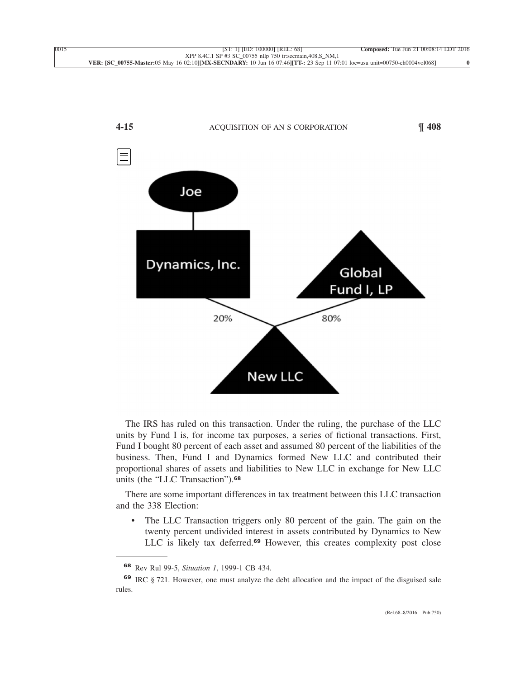

[The IRS has ruled on this transaction. Under the ruling, the purchase of the LLC](xpath-> core:para,  Default,  para-list,  style_01) [units by Fund I is, for income tax purposes, a series of fictional transactions. First,](xpath-> core:para,  Default,  para-list,  style_01) [Fund I bought 80 percent of each asset and assumed 80 percent of the liabilities of the](xpath-> core:para,  Default,  para-list,  style_01) [business. Then, Fund I and Dynamics formed New LLC and contributed their](xpath-> core:para,  Default,  para-list,  style_01) [proportional shares of assets and liabilities to New LLC in exchange for New LLC](xpath-> core:para,  Default,  para-list,  style_01) [units \(the "LLC Transaction"\).](xpath-> core:para,  Default,  para-list,  style_01)**<sup>68</sup>**

[There are some important differences in tax treatment between this LLC transaction](xpath-> core:para,  Default,  para-list,  style_01) [and the 338 Election:](xpath-> core:para,  Default,  para-list,  style_01)

[•](xpath-> core:enum,  core:listitem/core:enum,  para-list,  style_01) [The LLC Transaction triggers only 80 percent of the gain. The gain on the](xpath-> core:para,  core:listitem/core:para,  para-list,  style_01) [twenty percent undivided interest in assets contributed by Dynamics to New](xpath-> core:para,  core:listitem/core:para,  para-list,  style_01) LLC is likely tax deferred.**<sup>69</sup>** [However, this creates complexity post close](xpath-> core:para,  core:listitem/core:para,  para-list,  style_01)

**<sup>68</sup>** Rev Rul 99-5, *Situation 1*[, 1999-1 CB 434.](xpath-> fn:para,  fn:footnote/fn:para,  footnote,  style_01)

**<sup>69</sup>** [IRC § 721. However, one must analyze the debt allocation and the impact of the disguised sale](xpath-> fn:para,  fn:footnote/fn:para,  footnote,  style_01) [rules.](xpath-> fn:para,  fn:footnote/fn:para,  footnote,  style_01)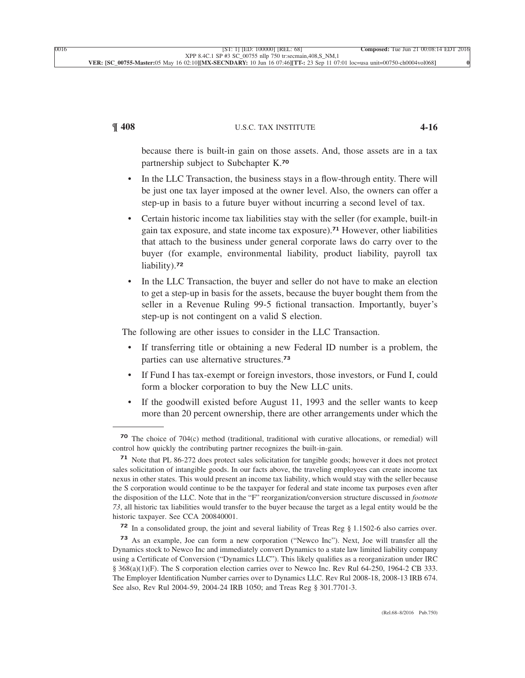# **¶ 408** U.S.C. TAX INSTITUTE **4-16**

because there is built-in gain on those assets. And, those assets are in a tax [partnership subject to Subchapter K.](xpath-> core:para,  core:listitem/core:para,  para-list,  style_01)**<sup>70</sup>**

- In the LLC Transaction, the business stays in a flow-through entity. There will [be just one tax layer imposed at the owner level. Also, the owners can offer a](xpath-> core:para,  core:listitem/core:para,  para-list,  style_01) [step-up in basis to a future buyer without incurring a second level of tax.](xpath-> core:para,  core:listitem/core:para,  para-list,  style_01)
- [•](xpath-> core:enum,  core:listitem/core:enum,  para-list,  style_01) [Certain historic income tax liabilities stay with the seller \(for example, built-in](xpath-> core:para,  core:listitem/core:para,  para-list,  style_01) [gain tax exposure, and state income tax exposure\).](xpath-> core:para,  core:listitem/core:para,  para-list,  style_01)**<sup>71</sup>** However, other liabilities [that attach to the business under general corporate laws do carry over to the](xpath-> core:para,  core:listitem/core:para,  para-list,  style_01) [buyer \(for example, environmental liability, product liability, payroll tax](xpath-> core:para,  core:listitem/core:para,  para-list,  style_01) [liability\).](xpath-> core:para,  core:listitem/core:para,  para-list,  style_01)**<sup>72</sup>**
- [•](xpath-> core:enum,  core:listitem/core:enum,  para-list,  style_01) [In the LLC Transaction, the buyer and seller do not have to make an election](xpath-> core:para,  core:listitem/core:para,  para-list,  style_01) [to get a step-up in basis for the assets, because the buyer bought them from the](xpath-> core:para,  core:listitem/core:para,  para-list,  style_01) [seller in a Revenue Ruling 99-5 fictional transaction. Importantly, buyer's](xpath-> core:para,  core:listitem/core:para,  para-list,  style_01) [step-up is not contingent on a valid S election.](xpath-> core:para,  core:listitem/core:para,  para-list,  style_01)

[The following are other issues to consider in the LLC Transaction.](xpath-> core:para,  Default,  para-list,  style_01)

- [•](xpath-> core:enum,  core:listitem/core:enum,  para-list,  style_01) [If transferring title or obtaining a new Federal ID number is a problem, the](xpath-> core:para,  core:listitem/core:para,  para-list,  style_01) [parties can use alternative structures.](xpath-> core:para,  core:listitem/core:para,  para-list,  style_01)**<sup>73</sup>**
- [•](xpath-> core:enum,  core:listitem/core:enum,  para-list,  style_01) [If Fund I has tax-exempt or foreign investors, those investors, or Fund I, could](xpath-> core:para,  core:listitem/core:para,  para-list,  style_01) [form a blocker corporation to buy the New LLC units.](xpath-> core:para,  core:listitem/core:para,  para-list,  style_01)
- [•](xpath-> core:enum,  core:listitem/core:enum,  para-list,  style_01) [If the goodwill existed before August 11, 1993 and the seller wants to keep](xpath-> core:para,  core:listitem/core:para,  para-list,  style_01) [more than 20 percent ownership, there are other arrangements under which the](xpath-> core:para,  core:listitem/core:para,  para-list,  style_01)

**<sup>70</sup>** [The choice of 704\(c\) method \(traditional, traditional with curative allocations, or remedial\) will](xpath-> fn:para,  fn:footnote/fn:para,  footnote,  style_01) [control how quickly the contributing partner recognizes the built-in-gain.](xpath-> fn:para,  fn:footnote/fn:para,  footnote,  style_01)

**<sup>71</sup>** [Note that PL 86-272 does protect sales solicitation for tangible goods; however it does not protect](xpath-> fn:para,  fn:footnote/fn:para,  footnote,  style_01) [sales solicitation of intangible goods. In our facts above, the traveling employees can create income tax](xpath-> fn:para,  fn:footnote/fn:para,  footnote,  style_01) [nexus in other states. This would present an income tax liability, which would stay with the seller because](xpath-> fn:para,  fn:footnote/fn:para,  footnote,  style_01) [the S corporation would continue to be the taxpayer for federal and state income tax purposes even after](xpath-> fn:para,  fn:footnote/fn:para,  footnote,  style_01) [the disposition of the LLC. Note that in the "F" reorganization/conversion structure discussed in](xpath-> fn:para,  fn:footnote/fn:para,  footnote,  style_01) *footnote 73*[, all historic tax liabilities would transfer to the buyer because the target as a legal entity would be the](xpath-> fn:para,  fn:footnote/fn:para,  footnote,  style_01) [historic taxpayer. See CCA 200840001.](xpath-> fn:para,  fn:footnote/fn:para,  footnote,  style_01)

**<sup>72</sup>** [In a consolidated group, the joint and several liability of Treas Reg § 1.1502-6 also carries over.](xpath-> fn:para,  fn:footnote/fn:para,  footnote,  style_01)

**<sup>73</sup>** [As an example, Joe can form a new corporation \("Newco Inc"\). Next, Joe will transfer all the](xpath-> fn:para,  fn:footnote/fn:para,  footnote,  style_01) [Dynamics stock to Newco Inc and immediately convert Dynamics to a state law limited liability company](xpath-> fn:para,  fn:footnote/fn:para,  footnote,  style_01) [using a Certificate of Conversion \("Dynamics LLC"\). This likely qualifies as a reorganization under IRC](xpath-> fn:para,  fn:footnote/fn:para,  footnote,  style_01) [§ 368\(a\)\(1\)\(F\). The S corporation election carries over to Newco Inc. Rev Rul 64-250, 1964-2 CB 333.](xpath-> fn:para,  fn:footnote/fn:para,  footnote,  style_01) [The Employer Identification Number carries over to Dynamics LLC. Rev Rul 2008-18, 2008-13 IRB 674.](xpath-> fn:para,  fn:footnote/fn:para,  footnote,  style_01) [See also, Rev Rul 2004-59, 2004-24 IRB 1050; and Treas Reg § 301.7701-3.](xpath-> fn:para,  fn:footnote/fn:para,  footnote,  style_01)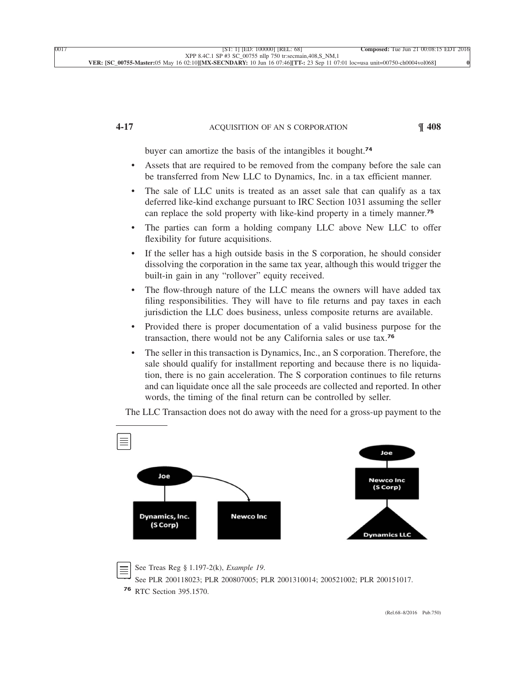# **4-17** ACQUISITION OF AN S CORPORATION **¶ 408**

[buyer can amortize the basis of the intangibles it bought.](xpath-> core:para,  core:listitem/core:para,  para-list,  style_01)**<sup>74</sup>**

- [•](xpath-> core:enum,  core:listitem/core:enum,  para-list,  style_01) [Assets that are required to be removed from the company before the sale can](xpath-> core:para,  core:listitem/core:para,  para-list,  style_01) [be transferred from New LLC to Dynamics, Inc. in a tax efficient manner.](xpath-> core:para,  core:listitem/core:para,  para-list,  style_01)
- [•](xpath-> core:enum,  core:listitem/core:enum,  para-list,  style_01) [The sale of LLC units is treated as an asset sale that can qualify as a tax](xpath-> core:para,  core:listitem/core:para,  para-list,  style_01) [deferred like-kind exchange pursuant to IRC Section 1031 assuming the seller](xpath-> core:para,  core:listitem/core:para,  para-list,  style_01) [can replace the sold property with like-kind property in a timely manner.](xpath-> core:para,  core:listitem/core:para,  para-list,  style_01)**<sup>75</sup>**
- [•](xpath-> core:enum,  core:listitem/core:enum,  para-list,  style_01) [The parties can form a holding company LLC above New LLC to offer](xpath-> core:para,  core:listitem/core:para,  para-list,  style_01) [flexibility for future acquisitions.](xpath-> core:para,  core:listitem/core:para,  para-list,  style_01)
- If the seller has a high outside basis in the S corporation, he should consider [dissolving the corporation in the same tax year, although this would trigger the](xpath-> core:para,  core:listitem/core:para,  para-list,  style_01) [built-in gain in any "rollover" equity received.](xpath-> core:para,  core:listitem/core:para,  para-list,  style_01)
- The flow-through nature of the LLC means the owners will have added tax [filing responsibilities. They will have to file returns and pay taxes in each](xpath-> core:para,  core:listitem/core:para,  para-list,  style_01) [jurisdiction the LLC does business, unless composite returns are available.](xpath-> core:para,  core:listitem/core:para,  para-list,  style_01)
- [•](xpath-> core:enum,  core:listitem/core:enum,  para-list,  style_01) [Provided there is proper documentation of a valid business purpose for the](xpath-> core:para,  core:listitem/core:para,  para-list,  style_01) [transaction, there would not be any California sales or use tax.](xpath-> core:para,  core:listitem/core:para,  para-list,  style_01)**<sup>76</sup>**
- The seller in this transaction is Dynamics, Inc., an S corporation. Therefore, the [sale should qualify for installment reporting and because there is no liquida](xpath-> core:para,  core:listitem/core:para,  para-list,  style_01)[tion, there is no gain acceleration. The S corporation continues to file returns](xpath-> core:para,  core:listitem/core:para,  para-list,  style_01) [and can liquidate once all the sale proceeds are collected and reported. In other](xpath-> core:para,  core:listitem/core:para,  para-list,  style_01) [words, the timing of the final return can be controlled by seller.](xpath-> core:para,  core:listitem/core:para,  para-list,  style_01)



[The LLC Transaction does not do away with the need for a gross-up payment to the](xpath-> core:para,  Default,  para-list,  style_01)